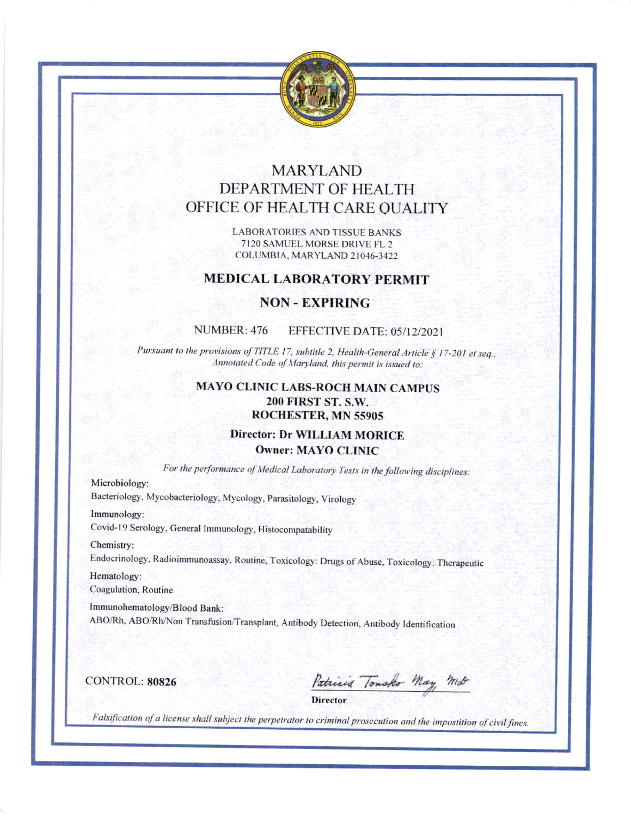

# **MARYLAND** DEPARTMENT OF HEALTH OFFICE OF HEALTH CARE OUALITY

**LABORATORIES AND TISSUE BANKS** 7120 SAMUEL MORSE DRIVE FL 2 COLUMBIA, MARYLAND 21046-3422

### **MEDICAL LABORATORY PERMIT**

### **NON - EXPIRING**

#### NUMBER: 476 EFFECTIVE DATE: 05/12/2021

Pursuant to the provisions of TITLE 17, subtitle 2, Health-General Article § 17-201 et seq., Annotated Code of Maryland, this permit is issued to:

## **MAYO CLINIC LABS-ROCH MAIN CAMPUS** 200 FIRST ST. S.W. ROCHESTER, MN 55905

## **Director: Dr WILLIAM MORICE Owner: MAYO CLINIC**

For the performance of Medical Laboratory Tests in the following disciplines:

Microbiology:

Bacteriology, Mycobacteriology, Mycology, Parasitology, Virology

Immunology:

Covid-19 Serology, General Immunology, Histocompatability

Chemistry:

Endocrinology, Radioimmunoassay, Routine, Toxicology: Drugs of Abuse, Toxicology: Therapeutic

Hematology: Coagulation, Routine

Immunohematology/Blood Bank:

ABO/Rh, ABO/Rh/Non Transfusion/Transplant, Antibody Detection, Antibody Identification

**CONTROL: 80826** 

Patricia Tomsko May Mot

**Director** 

Falsification of a license shall subject the perpetrator to criminal prosecution and the impostition of civil fines.